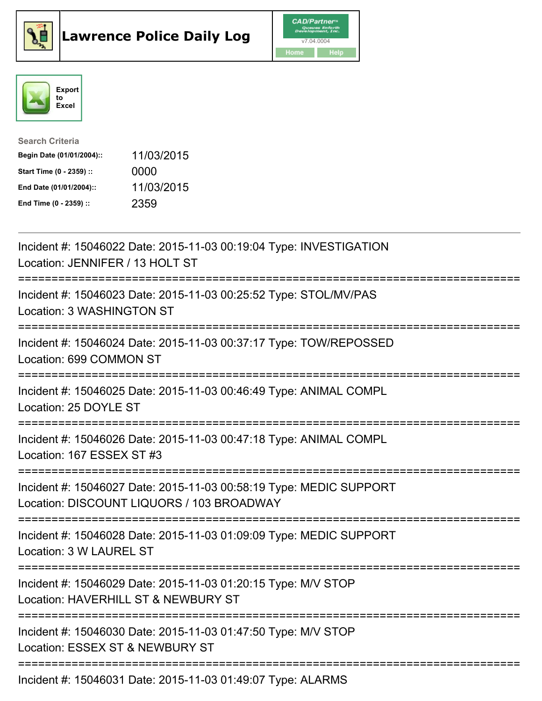





| <b>Search Criteria</b>    |            |
|---------------------------|------------|
| Begin Date (01/01/2004):: | 11/03/2015 |
| Start Time (0 - 2359) ::  | 0000       |
| End Date (01/01/2004)::   | 11/03/2015 |
| End Time (0 - 2359) ::    | 2359       |

| Incident #: 15046022 Date: 2015-11-03 00:19:04 Type: INVESTIGATION<br>Location: JENNIFER / 13 HOLT ST                                 |
|---------------------------------------------------------------------------------------------------------------------------------------|
| Incident #: 15046023 Date: 2015-11-03 00:25:52 Type: STOL/MV/PAS<br>Location: 3 WASHINGTON ST                                         |
| Incident #: 15046024 Date: 2015-11-03 00:37:17 Type: TOW/REPOSSED<br>Location: 699 COMMON ST                                          |
| Incident #: 15046025 Date: 2015-11-03 00:46:49 Type: ANIMAL COMPL<br>Location: 25 DOYLE ST                                            |
| Incident #: 15046026 Date: 2015-11-03 00:47:18 Type: ANIMAL COMPL<br>Location: 167 ESSEX ST #3                                        |
| Incident #: 15046027 Date: 2015-11-03 00:58:19 Type: MEDIC SUPPORT<br>Location: DISCOUNT LIQUORS / 103 BROADWAY                       |
| Incident #: 15046028 Date: 2015-11-03 01:09:09 Type: MEDIC SUPPORT<br>Location: 3 W LAUREL ST<br>------------------------------------ |
| Incident #: 15046029 Date: 2015-11-03 01:20:15 Type: M/V STOP<br>Location: HAVERHILL ST & NEWBURY ST<br>==========================    |
| Incident #: 15046030 Date: 2015-11-03 01:47:50 Type: M/V STOP<br>Location: ESSEX ST & NEWBURY ST                                      |
| Incident #: 15046031 Date: 2015-11-03 01:49:07 Type: ALARMS                                                                           |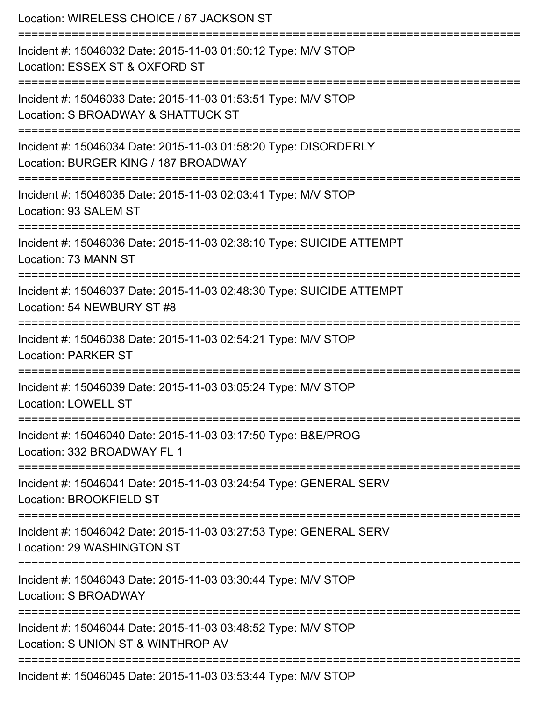| Location: WIRELESS CHOICE / 67 JACKSON ST                                                                                                                             |
|-----------------------------------------------------------------------------------------------------------------------------------------------------------------------|
| Incident #: 15046032 Date: 2015-11-03 01:50:12 Type: M/V STOP<br>Location: ESSEX ST & OXFORD ST                                                                       |
| Incident #: 15046033 Date: 2015-11-03 01:53:51 Type: M/V STOP<br>Location: S BROADWAY & SHATTUCK ST                                                                   |
| Incident #: 15046034 Date: 2015-11-03 01:58:20 Type: DISORDERLY<br>Location: BURGER KING / 187 BROADWAY                                                               |
| :=========================<br>================<br>Incident #: 15046035 Date: 2015-11-03 02:03:41 Type: M/V STOP<br>Location: 93 SALEM ST                              |
| Incident #: 15046036 Date: 2015-11-03 02:38:10 Type: SUICIDE ATTEMPT<br>Location: 73 MANN ST                                                                          |
| Incident #: 15046037 Date: 2015-11-03 02:48:30 Type: SUICIDE ATTEMPT<br>Location: 54 NEWBURY ST #8                                                                    |
| Incident #: 15046038 Date: 2015-11-03 02:54:21 Type: M/V STOP<br><b>Location: PARKER ST</b>                                                                           |
| Incident #: 15046039 Date: 2015-11-03 03:05:24 Type: M/V STOP<br><b>Location: LOWELL ST</b>                                                                           |
| Incident #: 15046040 Date: 2015-11-03 03:17:50 Type: B&E/PROG<br>Location: 332 BROADWAY FL 1                                                                          |
| Incident #: 15046041 Date: 2015-11-03 03:24:54 Type: GENERAL SERV<br>Location: BROOKFIELD ST                                                                          |
| ======================================<br>------------------------<br>Incident #: 15046042 Date: 2015-11-03 03:27:53 Type: GENERAL SERV<br>Location: 29 WASHINGTON ST |
| :==================<br>Incident #: 15046043 Date: 2015-11-03 03:30:44 Type: M/V STOP<br><b>Location: S BROADWAY</b>                                                   |
| Incident #: 15046044 Date: 2015-11-03 03:48:52 Type: M/V STOP<br>Location: S UNION ST & WINTHROP AV                                                                   |
| Incident #: 15046045 Date: 2015-11-03 03:53:44 Type: M/V STOP                                                                                                         |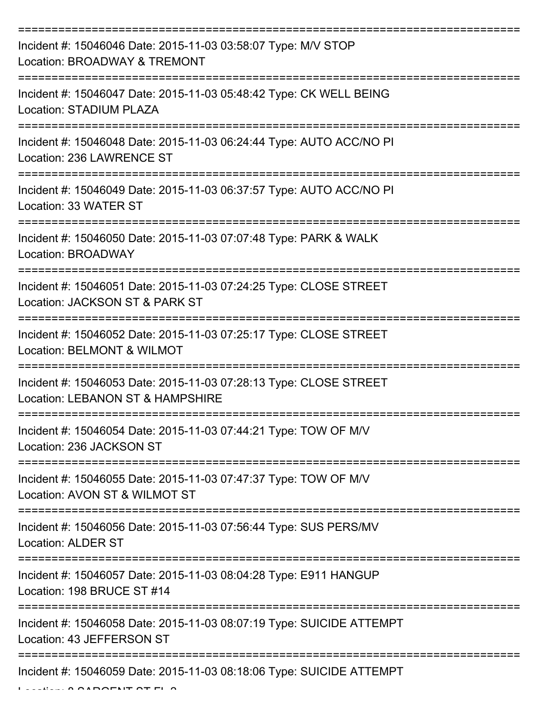| Incident #: 15046046 Date: 2015-11-03 03:58:07 Type: M/V STOP<br>Location: BROADWAY & TREMONT         |
|-------------------------------------------------------------------------------------------------------|
| Incident #: 15046047 Date: 2015-11-03 05:48:42 Type: CK WELL BEING<br><b>Location: STADIUM PLAZA</b>  |
| Incident #: 15046048 Date: 2015-11-03 06:24:44 Type: AUTO ACC/NO PI<br>Location: 236 LAWRENCE ST      |
| Incident #: 15046049 Date: 2015-11-03 06:37:57 Type: AUTO ACC/NO PI<br>Location: 33 WATER ST          |
| Incident #: 15046050 Date: 2015-11-03 07:07:48 Type: PARK & WALK<br>Location: BROADWAY                |
| Incident #: 15046051 Date: 2015-11-03 07:24:25 Type: CLOSE STREET<br>Location: JACKSON ST & PARK ST   |
| Incident #: 15046052 Date: 2015-11-03 07:25:17 Type: CLOSE STREET<br>Location: BELMONT & WILMOT       |
| Incident #: 15046053 Date: 2015-11-03 07:28:13 Type: CLOSE STREET<br>Location: LEBANON ST & HAMPSHIRE |
| Incident #: 15046054 Date: 2015-11-03 07:44:21 Type: TOW OF M/V<br>Location: 236 JACKSON ST           |
| Incident #: 15046055 Date: 2015-11-03 07:47:37 Type: TOW OF M/V<br>Location: AVON ST & WILMOT ST      |
| Incident #: 15046056 Date: 2015-11-03 07:56:44 Type: SUS PERS/MV<br><b>Location: ALDER ST</b>         |
| Incident #: 15046057 Date: 2015-11-03 08:04:28 Type: E911 HANGUP<br>Location: 198 BRUCE ST #14        |
| Incident #: 15046058 Date: 2015-11-03 08:07:19 Type: SUICIDE ATTEMPT<br>Location: 43 JEFFERSON ST     |
| Incident #: 15046059 Date: 2015-11-03 08:18:06 Type: SUICIDE ATTEMPT                                  |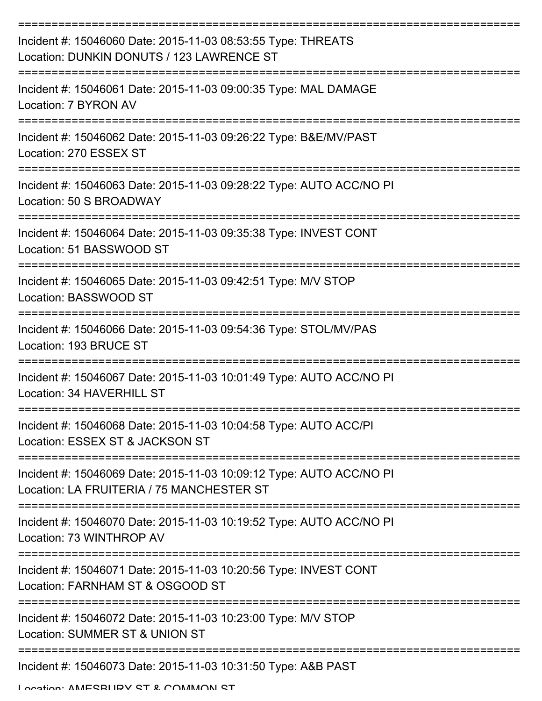| Incident #: 15046060 Date: 2015-11-03 08:53:55 Type: THREATS<br>Location: DUNKIN DONUTS / 123 LAWRENCE ST        |
|------------------------------------------------------------------------------------------------------------------|
| Incident #: 15046061 Date: 2015-11-03 09:00:35 Type: MAL DAMAGE<br>Location: 7 BYRON AV                          |
| Incident #: 15046062 Date: 2015-11-03 09:26:22 Type: B&E/MV/PAST<br>Location: 270 ESSEX ST                       |
| Incident #: 15046063 Date: 2015-11-03 09:28:22 Type: AUTO ACC/NO PI<br>Location: 50 S BROADWAY                   |
| Incident #: 15046064 Date: 2015-11-03 09:35:38 Type: INVEST CONT<br>Location: 51 BASSWOOD ST                     |
| Incident #: 15046065 Date: 2015-11-03 09:42:51 Type: M/V STOP<br>Location: BASSWOOD ST                           |
| Incident #: 15046066 Date: 2015-11-03 09:54:36 Type: STOL/MV/PAS<br>Location: 193 BRUCE ST                       |
| Incident #: 15046067 Date: 2015-11-03 10:01:49 Type: AUTO ACC/NO PI<br>Location: 34 HAVERHILL ST                 |
| Incident #: 15046068 Date: 2015-11-03 10:04:58 Type: AUTO ACC/PI<br>Location: ESSEX ST & JACKSON ST              |
| Incident #: 15046069 Date: 2015-11-03 10:09:12 Type: AUTO ACC/NO PI<br>Location: LA FRUITERIA / 75 MANCHESTER ST |
| Incident #: 15046070 Date: 2015-11-03 10:19:52 Type: AUTO ACC/NO PI<br>Location: 73 WINTHROP AV                  |
| Incident #: 15046071 Date: 2015-11-03 10:20:56 Type: INVEST CONT<br>Location: FARNHAM ST & OSGOOD ST             |
| Incident #: 15046072 Date: 2015-11-03 10:23:00 Type: M/V STOP<br>Location: SUMMER ST & UNION ST                  |
| Incident #: 15046073 Date: 2015-11-03 10:31:50 Type: A&B PAST                                                    |

Location: AMESBURY ST & COMMON ST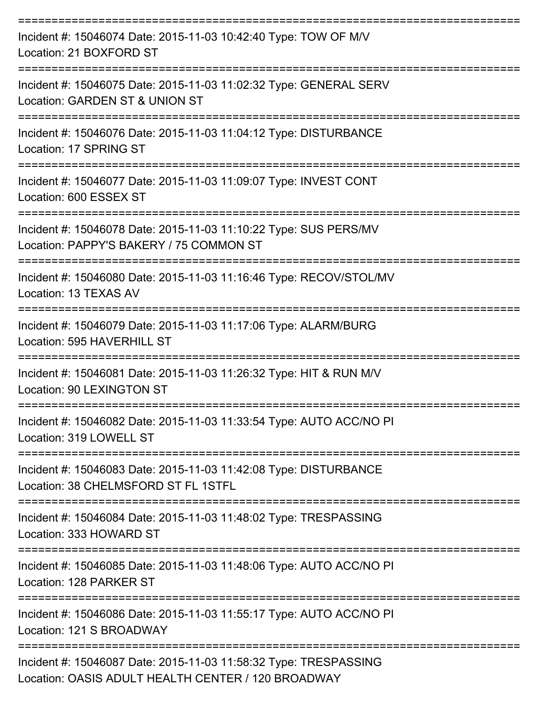| Incident #: 15046074 Date: 2015-11-03 10:42:40 Type: TOW OF M/V<br>Location: 21 BOXFORD ST                                  |
|-----------------------------------------------------------------------------------------------------------------------------|
| Incident #: 15046075 Date: 2015-11-03 11:02:32 Type: GENERAL SERV<br>Location: GARDEN ST & UNION ST                         |
| Incident #: 15046076 Date: 2015-11-03 11:04:12 Type: DISTURBANCE<br>Location: 17 SPRING ST                                  |
| Incident #: 15046077 Date: 2015-11-03 11:09:07 Type: INVEST CONT<br>Location: 600 ESSEX ST                                  |
| Incident #: 15046078 Date: 2015-11-03 11:10:22 Type: SUS PERS/MV<br>Location: PAPPY'S BAKERY / 75 COMMON ST                 |
| Incident #: 15046080 Date: 2015-11-03 11:16:46 Type: RECOV/STOL/MV<br>Location: 13 TEXAS AV                                 |
| Incident #: 15046079 Date: 2015-11-03 11:17:06 Type: ALARM/BURG<br>Location: 595 HAVERHILL ST                               |
| Incident #: 15046081 Date: 2015-11-03 11:26:32 Type: HIT & RUN M/V<br>Location: 90 LEXINGTON ST                             |
| Incident #: 15046082 Date: 2015-11-03 11:33:54 Type: AUTO ACC/NO PI<br>Location: 319 LOWELL ST                              |
| ================<br>Incident #: 15046083 Date: 2015-11-03 11:42:08 Type: DISTURBANCE<br>Location: 38 CHELMSFORD ST FL 1STFL |
| Incident #: 15046084 Date: 2015-11-03 11:48:02 Type: TRESPASSING<br>Location: 333 HOWARD ST                                 |
| Incident #: 15046085 Date: 2015-11-03 11:48:06 Type: AUTO ACC/NO PI<br>Location: 128 PARKER ST                              |
| Incident #: 15046086 Date: 2015-11-03 11:55:17 Type: AUTO ACC/NO PI<br>Location: 121 S BROADWAY                             |
| Incident #: 15046087 Date: 2015-11-03 11:58:32 Type: TRESPASSING<br>Location: OASIS ADULT HEALTH CENTER / 120 BROADWAY      |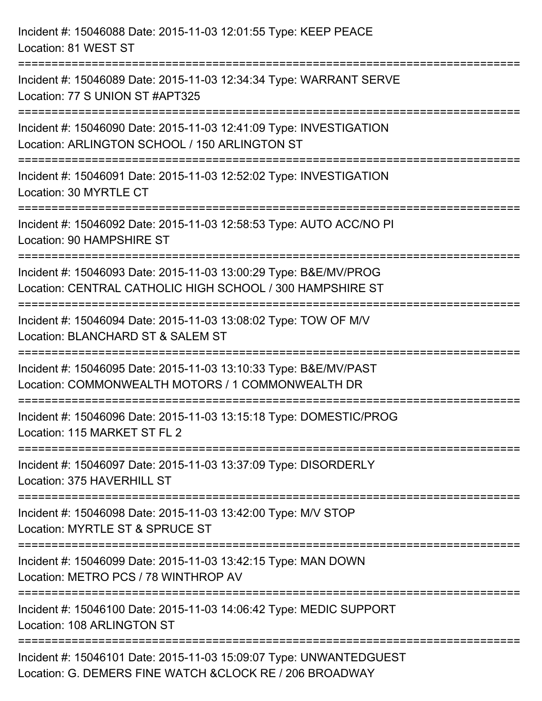| Incident #: 15046088 Date: 2015-11-03 12:01:55 Type: KEEP PEACE<br>Location: 81 WEST ST                                        |
|--------------------------------------------------------------------------------------------------------------------------------|
| Incident #: 15046089 Date: 2015-11-03 12:34:34 Type: WARRANT SERVE<br>Location: 77 S UNION ST #APT325                          |
| Incident #: 15046090 Date: 2015-11-03 12:41:09 Type: INVESTIGATION<br>Location: ARLINGTON SCHOOL / 150 ARLINGTON ST            |
| Incident #: 15046091 Date: 2015-11-03 12:52:02 Type: INVESTIGATION<br>Location: 30 MYRTLE CT                                   |
| Incident #: 15046092 Date: 2015-11-03 12:58:53 Type: AUTO ACC/NO PI<br>Location: 90 HAMPSHIRE ST                               |
| Incident #: 15046093 Date: 2015-11-03 13:00:29 Type: B&E/MV/PROG<br>Location: CENTRAL CATHOLIC HIGH SCHOOL / 300 HAMPSHIRE ST  |
| Incident #: 15046094 Date: 2015-11-03 13:08:02 Type: TOW OF M/V<br>Location: BLANCHARD ST & SALEM ST<br>=================      |
| Incident #: 15046095 Date: 2015-11-03 13:10:33 Type: B&E/MV/PAST<br>Location: COMMONWEALTH MOTORS / 1 COMMONWEALTH DR          |
| Incident #: 15046096 Date: 2015-11-03 13:15:18 Type: DOMESTIC/PROG<br>Location: 115 MARKET ST FL 2                             |
| Incident #: 15046097 Date: 2015-11-03 13:37:09 Type: DISORDERLY<br>Location: 375 HAVERHILL ST                                  |
| Incident #: 15046098 Date: 2015-11-03 13:42:00 Type: M/V STOP<br>Location: MYRTLE ST & SPRUCE ST                               |
| Incident #: 15046099 Date: 2015-11-03 13:42:15 Type: MAN DOWN<br>Location: METRO PCS / 78 WINTHROP AV                          |
| Incident #: 15046100 Date: 2015-11-03 14:06:42 Type: MEDIC SUPPORT<br>Location: 108 ARLINGTON ST                               |
| Incident #: 15046101 Date: 2015-11-03 15:09:07 Type: UNWANTEDGUEST<br>Location: G. DEMERS FINE WATCH & CLOCK RE / 206 BROADWAY |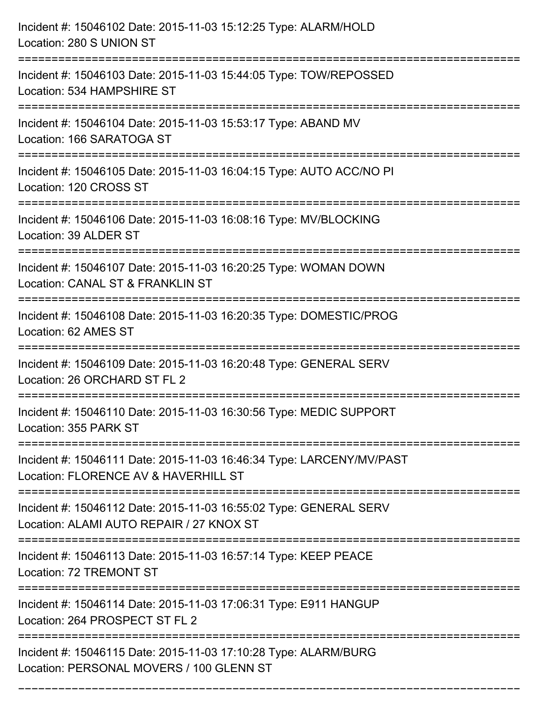| Incident #: 15046102 Date: 2015-11-03 15:12:25 Type: ALARM/HOLD<br>Location: 280 S UNION ST                                                                                                |
|--------------------------------------------------------------------------------------------------------------------------------------------------------------------------------------------|
| Incident #: 15046103 Date: 2015-11-03 15:44:05 Type: TOW/REPOSSED<br>Location: 534 HAMPSHIRE ST                                                                                            |
| Incident #: 15046104 Date: 2015-11-03 15:53:17 Type: ABAND MV<br>Location: 166 SARATOGA ST                                                                                                 |
| Incident #: 15046105 Date: 2015-11-03 16:04:15 Type: AUTO ACC/NO PI<br>Location: 120 CROSS ST                                                                                              |
| Incident #: 15046106 Date: 2015-11-03 16:08:16 Type: MV/BLOCKING<br>Location: 39 ALDER ST                                                                                                  |
| Incident #: 15046107 Date: 2015-11-03 16:20:25 Type: WOMAN DOWN<br>Location: CANAL ST & FRANKLIN ST<br>:====================                                                               |
| Incident #: 15046108 Date: 2015-11-03 16:20:35 Type: DOMESTIC/PROG<br>Location: 62 AMES ST                                                                                                 |
| Incident #: 15046109 Date: 2015-11-03 16:20:48 Type: GENERAL SERV<br>Location: 26 ORCHARD ST FL 2                                                                                          |
| Incident #: 15046110 Date: 2015-11-03 16:30:56 Type: MEDIC SUPPORT<br>Location: 355 PARK ST                                                                                                |
| Incident #: 15046111 Date: 2015-11-03 16:46:34 Type: LARCENY/MV/PAST<br>Location: FLORENCE AV & HAVERHILL ST                                                                               |
| Incident #: 15046112 Date: 2015-11-03 16:55:02 Type: GENERAL SERV<br>Location: ALAMI AUTO REPAIR / 27 KNOX ST<br>----------------------------------<br>----------------------------------- |
| Incident #: 15046113 Date: 2015-11-03 16:57:14 Type: KEEP PEACE<br>Location: 72 TREMONT ST                                                                                                 |
| Incident #: 15046114 Date: 2015-11-03 17:06:31 Type: E911 HANGUP<br>Location: 264 PROSPECT ST FL 2                                                                                         |
| Incident #: 15046115 Date: 2015-11-03 17:10:28 Type: ALARM/BURG<br>Location: PERSONAL MOVERS / 100 GLENN ST                                                                                |

===========================================================================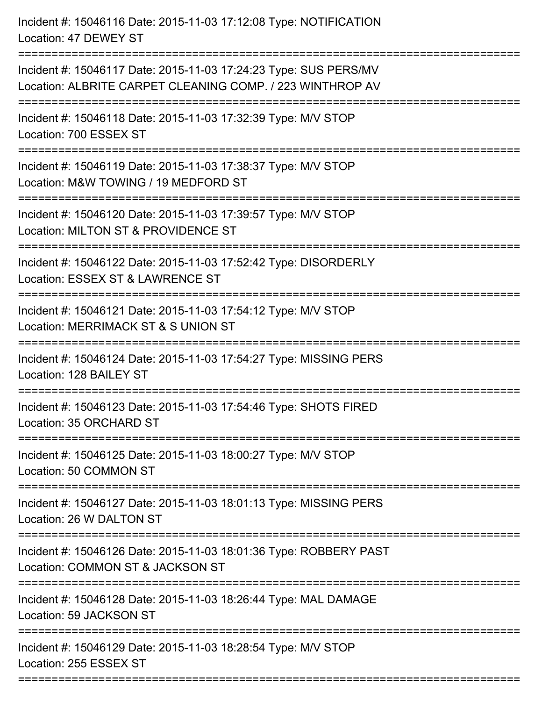| Incident #: 15046116 Date: 2015-11-03 17:12:08 Type: NOTIFICATION<br>Location: 47 DEWEY ST                                      |
|---------------------------------------------------------------------------------------------------------------------------------|
| Incident #: 15046117 Date: 2015-11-03 17:24:23 Type: SUS PERS/MV<br>Location: ALBRITE CARPET CLEANING COMP. / 223 WINTHROP AV   |
| Incident #: 15046118 Date: 2015-11-03 17:32:39 Type: M/V STOP<br>Location: 700 ESSEX ST<br>:=================================== |
| Incident #: 15046119 Date: 2015-11-03 17:38:37 Type: M/V STOP<br>Location: M&W TOWING / 19 MEDFORD ST                           |
| Incident #: 15046120 Date: 2015-11-03 17:39:57 Type: M/V STOP<br>Location: MILTON ST & PROVIDENCE ST<br>----------------------- |
| Incident #: 15046122 Date: 2015-11-03 17:52:42 Type: DISORDERLY<br>Location: ESSEX ST & LAWRENCE ST                             |
| Incident #: 15046121 Date: 2015-11-03 17:54:12 Type: M/V STOP<br>Location: MERRIMACK ST & S UNION ST                            |
| Incident #: 15046124 Date: 2015-11-03 17:54:27 Type: MISSING PERS<br>Location: 128 BAILEY ST                                    |
| Incident #: 15046123 Date: 2015-11-03 17:54:46 Type: SHOTS FIRED<br>Location: 35 ORCHARD ST                                     |
| Incident #: 15046125 Date: 2015-11-03 18:00:27 Type: M/V STOP<br>Location: 50 COMMON ST                                         |
| Incident #: 15046127 Date: 2015-11-03 18:01:13 Type: MISSING PERS<br>Location: 26 W DALTON ST                                   |
| Incident #: 15046126 Date: 2015-11-03 18:01:36 Type: ROBBERY PAST<br>Location: COMMON ST & JACKSON ST                           |
| Incident #: 15046128 Date: 2015-11-03 18:26:44 Type: MAL DAMAGE<br>Location: 59 JACKSON ST                                      |
| Incident #: 15046129 Date: 2015-11-03 18:28:54 Type: M/V STOP<br>Location: 255 ESSEX ST                                         |
|                                                                                                                                 |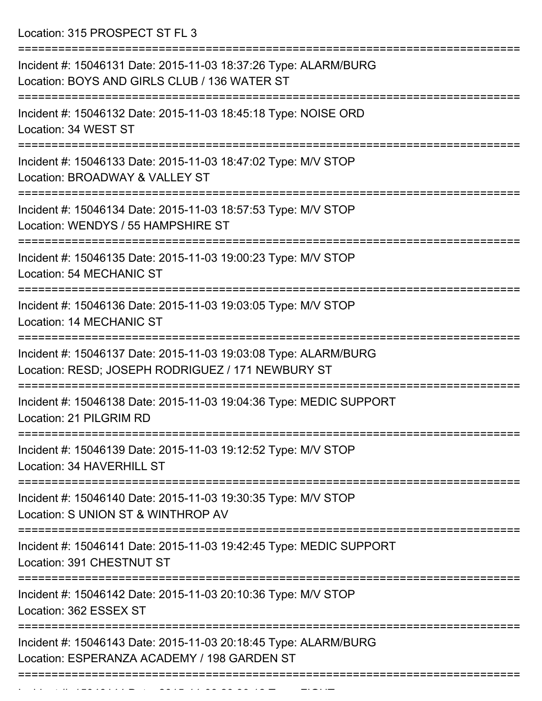Location: 315 PROSPECT ST FL 3

| Incident #: 15046131 Date: 2015-11-03 18:37:26 Type: ALARM/BURG<br>Location: BOYS AND GIRLS CLUB / 136 WATER ST      |
|----------------------------------------------------------------------------------------------------------------------|
| Incident #: 15046132 Date: 2015-11-03 18:45:18 Type: NOISE ORD<br>Location: 34 WEST ST                               |
| Incident #: 15046133 Date: 2015-11-03 18:47:02 Type: M/V STOP<br>Location: BROADWAY & VALLEY ST                      |
| Incident #: 15046134 Date: 2015-11-03 18:57:53 Type: M/V STOP<br>Location: WENDYS / 55 HAMPSHIRE ST                  |
| Incident #: 15046135 Date: 2015-11-03 19:00:23 Type: M/V STOP<br><b>Location: 54 MECHANIC ST</b>                     |
| Incident #: 15046136 Date: 2015-11-03 19:03:05 Type: M/V STOP<br><b>Location: 14 MECHANIC ST</b>                     |
| Incident #: 15046137 Date: 2015-11-03 19:03:08 Type: ALARM/BURG<br>Location: RESD; JOSEPH RODRIGUEZ / 171 NEWBURY ST |
| Incident #: 15046138 Date: 2015-11-03 19:04:36 Type: MEDIC SUPPORT<br>Location: 21 PILGRIM RD                        |
| Incident #: 15046139 Date: 2015-11-03 19:12:52 Type: M/V STOP<br>Location: 34 HAVERHILL ST                           |
| Incident #: 15046140 Date: 2015-11-03 19:30:35 Type: M/V STOP<br>Location: S UNION ST & WINTHROP AV                  |
| Incident #: 15046141 Date: 2015-11-03 19:42:45 Type: MEDIC SUPPORT<br>Location: 391 CHESTNUT ST                      |
| Incident #: 15046142 Date: 2015-11-03 20:10:36 Type: M/V STOP<br>Location: 362 ESSEX ST                              |
| Incident #: 15046143 Date: 2015-11-03 20:18:45 Type: ALARM/BURG<br>Location: ESPERANZA ACADEMY / 198 GARDEN ST       |
|                                                                                                                      |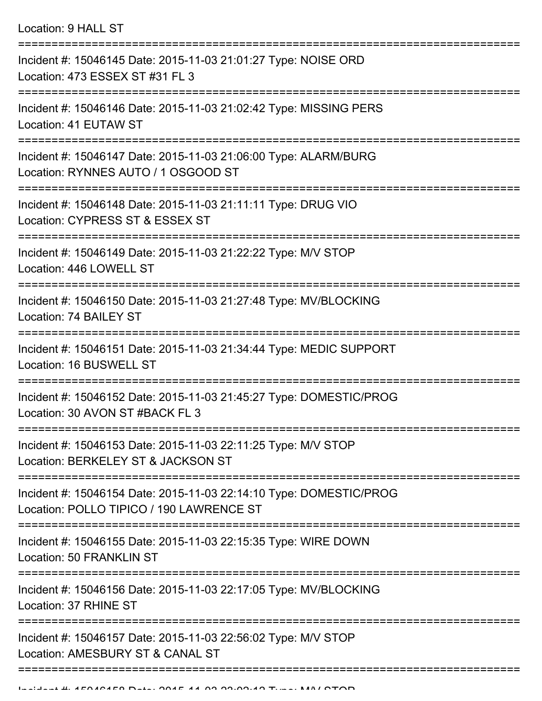Location: 9 HALL ST

| Incident #: 15046145 Date: 2015-11-03 21:01:27 Type: NOISE ORD<br>Location: 473 ESSEX ST #31 FL 3              |
|----------------------------------------------------------------------------------------------------------------|
| Incident #: 15046146 Date: 2015-11-03 21:02:42 Type: MISSING PERS<br>Location: 41 EUTAW ST                     |
| Incident #: 15046147 Date: 2015-11-03 21:06:00 Type: ALARM/BURG<br>Location: RYNNES AUTO / 1 OSGOOD ST         |
| Incident #: 15046148 Date: 2015-11-03 21:11:11 Type: DRUG VIO<br>Location: CYPRESS ST & ESSEX ST               |
| Incident #: 15046149 Date: 2015-11-03 21:22:22 Type: M/V STOP<br>Location: 446 LOWELL ST                       |
| Incident #: 15046150 Date: 2015-11-03 21:27:48 Type: MV/BLOCKING<br>Location: 74 BAILEY ST                     |
| Incident #: 15046151 Date: 2015-11-03 21:34:44 Type: MEDIC SUPPORT<br>Location: 16 BUSWELL ST                  |
| Incident #: 15046152 Date: 2015-11-03 21:45:27 Type: DOMESTIC/PROG<br>Location: 30 AVON ST #BACK FL 3          |
| Incident #: 15046153 Date: 2015-11-03 22:11:25 Type: M/V STOP<br>Location: BERKELEY ST & JACKSON ST            |
| Incident #: 15046154 Date: 2015-11-03 22:14:10 Type: DOMESTIC/PROG<br>Location: POLLO TIPICO / 190 LAWRENCE ST |
| Incident #: 15046155 Date: 2015-11-03 22:15:35 Type: WIRE DOWN<br>Location: 50 FRANKLIN ST                     |
| Incident #: 15046156 Date: 2015-11-03 22:17:05 Type: MV/BLOCKING<br>Location: 37 RHINE ST                      |
| Incident #: 15046157 Date: 2015-11-03 22:56:02 Type: M/V STOP<br>Location: AMESBURY ST & CANAL ST              |
|                                                                                                                |